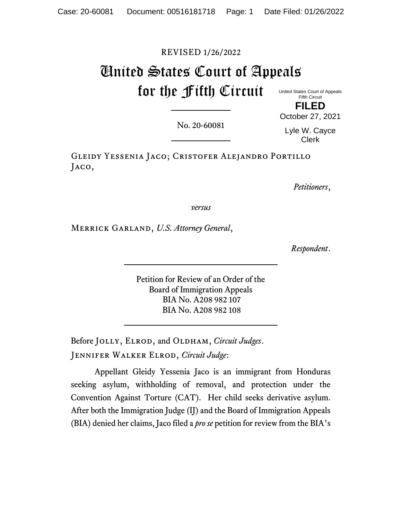# REVISED 1/26/2022

# United States Court of Appeals for the Fifth Circuit United States Court of Appeals

Fifth Circuit

**FILED** October 27, 2021

No. 20-60081

Lyle W. Cayce Clerk

Gleidy Yessenia Jaco; Cristofer Alejandro Portillo Jaco,

*Petitioners*,

*versus*

Merrick Garland, *U.S. Attorney General*,

*Respondent*.

Petition for Review of an Order of the Board of Immigration Appeals BIA No. A208 982 107 BIA No. A208 982 108

Before JOLLY, ELROD, and OLDHAM, *Circuit Judges*. Jennifer Walker Elrod, *Circuit Judge*:

Appellant Gleidy Yessenia Jaco is an immigrant from Honduras seeking asylum, withholding of removal, and protection under the Convention Against Torture (CAT). Her child seeks derivative asylum. After both the Immigration Judge (IJ) and the Board of Immigration Appeals (BIA) denied her claims, Jaco filed a *pro se* petition for review from the BIA's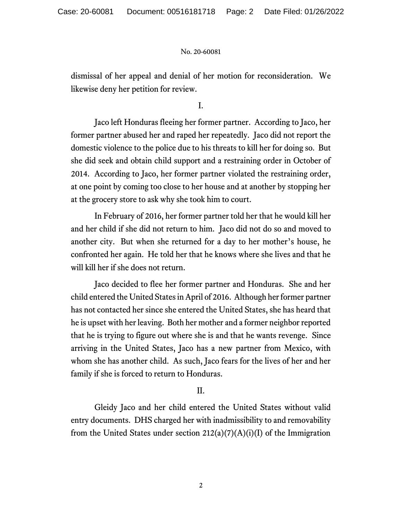dismissal of her appeal and denial of her motion for reconsideration. We likewise deny her petition for review.

I.

Jaco left Honduras fleeing her former partner. According to Jaco, her former partner abused her and raped her repeatedly. Jaco did not report the domestic violence to the police due to his threats to kill her for doing so. But she did seek and obtain child support and a restraining order in October of 2014. According to Jaco, her former partner violated the restraining order, at one point by coming too close to her house and at another by stopping her at the grocery store to ask why she took him to court.

In February of 2016, her former partner told her that he would kill her and her child if she did not return to him. Jaco did not do so and moved to another city. But when she returned for a day to her mother's house, he confronted her again. He told her that he knows where she lives and that he will kill her if she does not return.

Jaco decided to flee her former partner and Honduras. She and her child entered the United Statesin April of 2016. Although her former partner has not contacted her since she entered the United States, she has heard that he is upset with her leaving. Both her mother and a former neighbor reported that he is trying to figure out where she is and that he wants revenge. Since arriving in the United States, Jaco has a new partner from Mexico, with whom she has another child. As such, Jaco fears for the lives of her and her family if she is forced to return to Honduras.

# II.

Gleidy Jaco and her child entered the United States without valid entry documents. DHS charged her with inadmissibility to and removability from the United States under section  $212(a)(7)(A)(i)(I)$  of the Immigration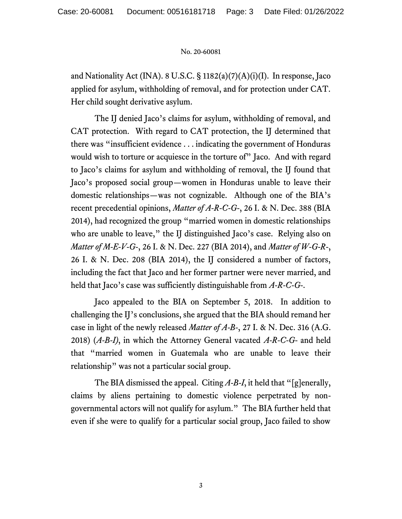and Nationality Act (INA). 8 U.S.C. § 1182(a)(7)(A)(i)(I). In response, Jaco applied for asylum, withholding of removal, and for protection under CAT. Her child sought derivative asylum.

The IJ denied Jaco's claims for asylum, withholding of removal, and CAT protection. With regard to CAT protection, the IJ determined that there was "insufficient evidence . . . indicating the government of Honduras would wish to torture or acquiesce in the torture of" Jaco. And with regard to Jaco's claims for asylum and withholding of removal, the IJ found that Jaco's proposed social group—women in Honduras unable to leave their domestic relationships—was not cognizable. Although one of the BIA's recent precedential opinions, *Matter of A-R-C-G-*, 26 I. & N. Dec. 388 (BIA 2014), had recognized the group "married women in domestic relationships who are unable to leave," the IJ distinguished Jaco's case. Relying also on *Matter of M-E-V-G-*, 26 I. & N. Dec. 227 (BIA 2014), and *Matter of W-G-R-*, 26 I. & N. Dec. 208 (BIA 2014), the IJ considered a number of factors, including the fact that Jaco and her former partner were never married, and held that Jaco's case was sufficiently distinguishable from *A-R-C-G-*.

Jaco appealed to the BIA on September 5, 2018. In addition to challenging the IJ's conclusions, she argued that the BIA should remand her case in light of the newly released *Matter of A-B-*, 27 I. & N. Dec. 316 (A.G. 2018) (*A-B-I)*, in which the Attorney General vacated *A-R-C-G-* and held that "married women in Guatemala who are unable to leave their relationship" was not a particular social group.

The BIA dismissed the appeal. Citing A-B-I, it held that "[g]enerally, claims by aliens pertaining to domestic violence perpetrated by nongovernmental actors will not qualify for asylum." The BIA further held that even if she were to qualify for a particular social group, Jaco failed to show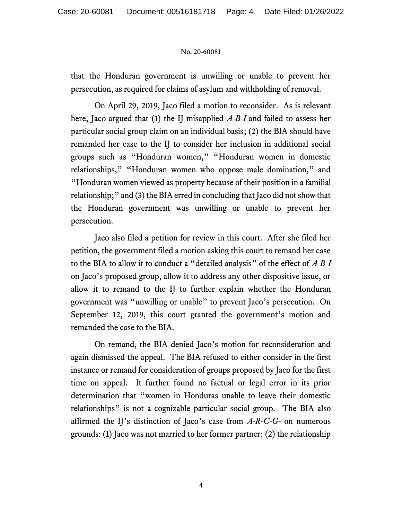that the Honduran government is unwilling or unable to prevent her persecution, as required for claims of asylum and withholding of removal.

On April 29, 2019, Jaco filed a motion to reconsider. As is relevant here, Jaco argued that (1) the IJ misapplied *A-B-I* and failed to assess her particular social group claim on an individual basis; (2) the BIA should have remanded her case to the IJ to consider her inclusion in additional social groups such as "Honduran women," "Honduran women in domestic relationships," "Honduran women who oppose male domination," and "Honduran women viewed as property because of their position in a familial relationship;" and (3) the BIA erred in concluding that Jaco did not show that the Honduran government was unwilling or unable to prevent her persecution.

Jaco also filed a petition for review in this court. After she filed her petition, the government filed a motion asking this court to remand her case to the BIA to allow it to conduct a "detailed analysis" of the effect of *A-B-I*  on Jaco's proposed group, allow it to address any other dispositive issue, or allow it to remand to the IJ to further explain whether the Honduran government was "unwilling or unable" to prevent Jaco's persecution. On September 12, 2019, this court granted the government's motion and remanded the case to the BIA.

On remand, the BIA denied Jaco's motion for reconsideration and again dismissed the appeal. The BIA refused to either consider in the first instance or remand for consideration of groups proposed by Jaco for the first time on appeal. It further found no factual or legal error in its prior determination that "women in Honduras unable to leave their domestic relationships" is not a cognizable particular social group. The BIA also affirmed the IJ's distinction of Jaco's case from *A-R-C-G-* on numerous grounds: (1) Jaco was not married to her former partner; (2) the relationship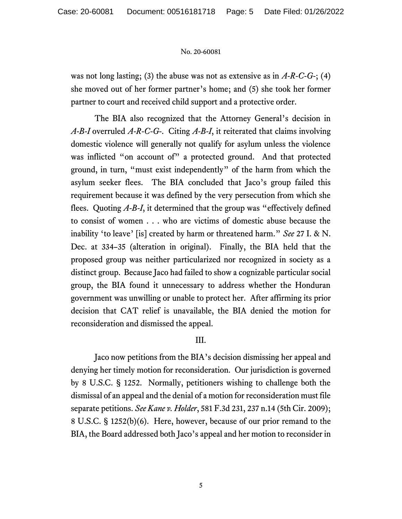was not long lasting; (3) the abuse was not as extensive as in *A-R-C-G-*; (4) she moved out of her former partner's home; and (5) she took her former partner to court and received child support and a protective order.

The BIA also recognized that the Attorney General's decision in *A-B-I* overruled *A-R-C-G-*. Citing *A-B-I*, it reiterated that claims involving domestic violence will generally not qualify for asylum unless the violence was inflicted "on account of" a protected ground. And that protected ground, in turn, "must exist independently" of the harm from which the asylum seeker flees. The BIA concluded that Jaco's group failed this requirement because it was defined by the very persecution from which she flees. Quoting *A-B-I*, it determined that the group was "effectively defined to consist of women . . . who are victims of domestic abuse because the inability 'to leave' [is] created by harm or threatened harm." *See* 27 I. & N. Dec. at 334–35 (alteration in original). Finally, the BIA held that the proposed group was neither particularized nor recognized in society as a distinct group. Because Jaco had failed to show a cognizable particular social group, the BIA found it unnecessary to address whether the Honduran government was unwilling or unable to protect her. After affirming its prior decision that CAT relief is unavailable, the BIA denied the motion for reconsideration and dismissed the appeal.

# III.

Jaco now petitions from the BIA's decision dismissing her appeal and denying her timely motion for reconsideration. Our jurisdiction is governed by 8 U.S.C. § 1252. Normally, petitioners wishing to challenge both the dismissal of an appeal and the denial of a motion for reconsideration must file separate petitions. *See Kane v. Holder*, 581 F.3d 231, 237 n.14 (5th Cir. 2009); 8 U.S.C. § 1252(b)(6). Here, however, because of our prior remand to the BIA, the Board addressed both Jaco's appeal and her motion to reconsider in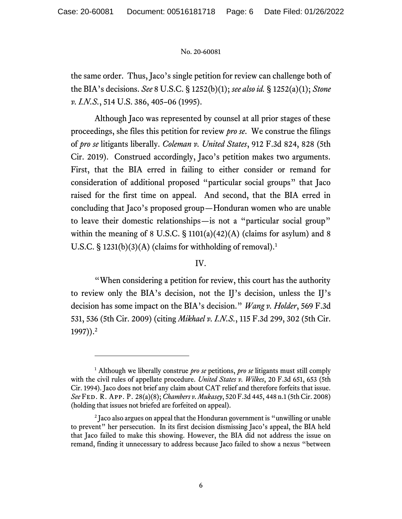the same order. Thus, Jaco's single petition for review can challenge both of the BIA's decisions. *See* 8 U.S.C. § 1252(b)(1); *see also id.* § 1252(a)(1); *Stone v. I.N.S.*, 514 U.S. 386, 405–06 (1995).

Although Jaco was represented by counsel at all prior stages of these proceedings, she files this petition for review *pro se*. We construe the filings of *pro se* litigants liberally. *Coleman v. United States*, 912 F.3d 824, 828 (5th Cir. 2019). Construed accordingly, Jaco's petition makes two arguments. First, that the BIA erred in failing to either consider or remand for consideration of additional proposed "particular social groups" that Jaco raised for the first time on appeal. And second, that the BIA erred in concluding that Jaco's proposed group—Honduran women who are unable to leave their domestic relationships—is not a "particular social group" within the meaning of 8 U.S.C.  $\S$  1101(a)(42)(A) (claims for asylum) and 8 U.S.C. § 1231(b)(3)(A) (claims for withholding of removal).<sup>1</sup>

# IV.

"When considering a petition for review, this court has the authority to review only the BIA's decision, not the IJ's decision, unless the IJ's decision has some impact on the BIA's decision." *Wang v. Holder*, 569 F.3d 531, 536 (5th Cir. 2009) (citing *Mikhael v. I.N.S.*, 115 F.3d 299, 302 (5th Cir. 1997)).<sup>2</sup>

<sup>1</sup> Although we liberally construe *pro se* petitions, *pro se* litigants must still comply with the civil rules of appellate procedure. *United States v. Wilkes*, 20 F.3d 651, 653 (5th Cir. 1994). Jaco does not brief any claim about CAT relief and therefore forfeits that issue. *See* Fed. R. App. P. 28(a)(8); *Chambers v. Mukasey*, 520 F.3d 445, 448 n.1 (5th Cir. 2008) (holding that issues not briefed are forfeited on appeal).

 $2$  Jaco also argues on appeal that the Honduran government is "unwilling or unable to prevent" her persecution. In its first decision dismissing Jaco's appeal, the BIA held that Jaco failed to make this showing. However, the BIA did not address the issue on remand, finding it unnecessary to address because Jaco failed to show a nexus "between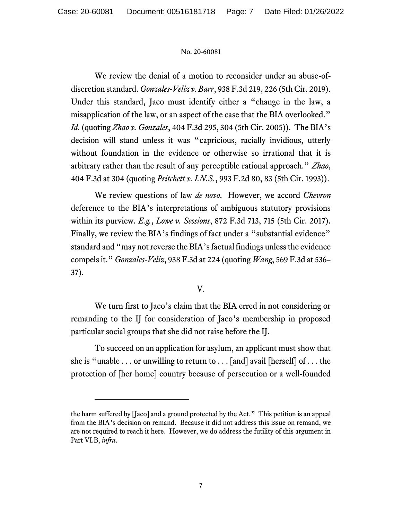We review the denial of a motion to reconsider under an abuse-ofdiscretion standard. *Gonzales-Veliz v. Barr*, 938 F.3d 219, 226 (5th Cir. 2019). Under this standard, Jaco must identify either a "change in the law, a misapplication of the law, or an aspect of the case that the BIA overlooked." *Id.* (quoting *Zhao v. Gonzales*, 404 F.3d 295, 304 (5th Cir. 2005)). The BIA's decision will stand unless it was "capricious, racially invidious, utterly without foundation in the evidence or otherwise so irrational that it is arbitrary rather than the result of any perceptible rational approach." *Zhao*, 404 F.3d at 304 (quoting *Pritchett v. I.N.S.*, 993 F.2d 80, 83 (5th Cir. 1993)).

We review questions of law *de novo*. However, we accord *Chevron*  deference to the BIA's interpretations of ambiguous statutory provisions within its purview. *E.g.*, *Lowe v. Sessions*, 872 F.3d 713, 715 (5th Cir. 2017). Finally, we review the BIA's findings of fact under a "substantial evidence" standard and "may not reverse the BIA's factual findings unless the evidence compels it." *Gonzales-Veliz*, 938 F.3d at 224 (quoting *Wang*, 569 F.3d at 536– 37).

V.

We turn first to Jaco's claim that the BIA erred in not considering or remanding to the IJ for consideration of Jaco's membership in proposed particular social groups that she did not raise before the IJ.

To succeed on an application for asylum, an applicant must show that she is "unable  $\dots$  or unwilling to return to  $\dots$  [and] avail [herself] of  $\dots$  the protection of [her home] country because of persecution or a well-founded

the harm suffered by [Jaco] and a ground protected by the Act."This petition is an appeal from the BIA's decision on remand. Because it did not address this issue on remand, we are not required to reach it here. However, we do address the futility of this argument in Part VI.B, *infra*.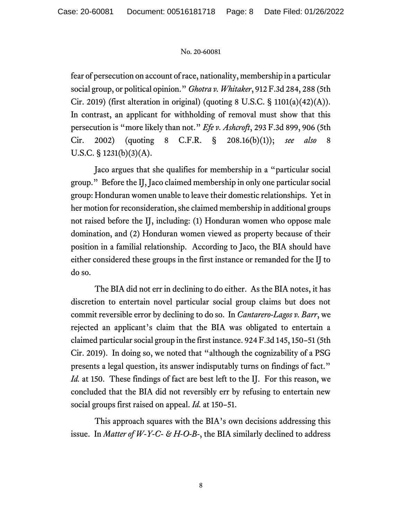fear of persecution on account of race, nationality, membership in a particular social group, or political opinion." *Ghotra v. Whitaker*, 912 F.3d 284, 288 (5th Cir. 2019) (first alteration in original) (quoting 8 U.S.C. § 1101(a)(42)(A)). In contrast, an applicant for withholding of removal must show that this persecution is "more likely than not." *Efe v. Ashcroft*, 293 F.3d 899, 906 (5th Cir. 2002) (quoting 8 C.F.R. § 208.16(b)(1)); *see also* 8 U.S.C.  $\S$  1231(b)(3)(A).

Jaco argues that she qualifies for membership in a "particular social group." Before the IJ, Jaco claimed membership in only one particular social group: Honduran women unable to leave their domestic relationships. Yet in her motion for reconsideration, she claimed membership in additional groups not raised before the IJ, including: (1) Honduran women who oppose male domination, and (2) Honduran women viewed as property because of their position in a familial relationship. According to Jaco, the BIA should have either considered these groups in the first instance or remanded for the IJ to do so.

The BIA did not err in declining to do either. As the BIA notes, it has discretion to entertain novel particular social group claims but does not commit reversible error by declining to do so. In *Cantarero-Lagos v. Barr*, we rejected an applicant's claim that the BIA was obligated to entertain a claimed particular social group in the first instance. 924 F.3d 145, 150–51 (5th Cir. 2019). In doing so, we noted that "although the cognizability of a PSG presents a legal question, its answer indisputably turns on findings of fact." *Id.* at 150. These findings of fact are best left to the II. For this reason, we concluded that the BIA did not reversibly err by refusing to entertain new social groups first raised on appeal. *Id.* at 150–51.

This approach squares with the BIA's own decisions addressing this issue. In *Matter of W-Y-C- & H-O-B-*, the BIA similarly declined to address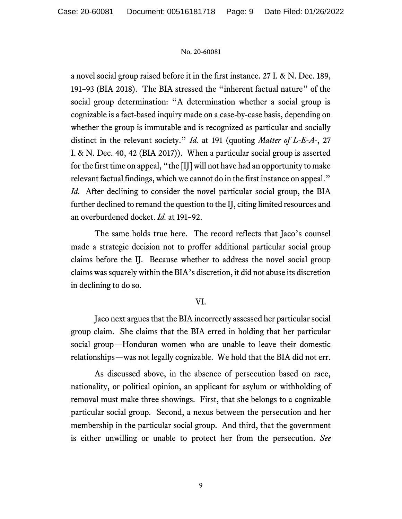a novel social group raised before it in the first instance. 27 I. & N. Dec. 189, 191–93 (BIA 2018). The BIA stressed the "inherent factual nature" of the social group determination: "A determination whether a social group is cognizable is a fact-based inquiry made on a case-by-case basis, depending on whether the group is immutable and is recognized as particular and socially distinct in the relevant society." *Id.* at 191 (quoting *Matter of L-E-A-*, 27 I. & N. Dec. 40, 42 (BIA 2017)). When a particular social group is asserted for the first time on appeal, "the [IJ] will not have had an opportunity to make relevant factual findings, which we cannot do in the first instance on appeal." *Id.* After declining to consider the novel particular social group, the BIA further declined to remand the question to the IJ, citing limited resources and an overburdened docket. *Id.* at 191–92.

The same holds true here. The record reflects that Jaco's counsel made a strategic decision not to proffer additional particular social group claims before the IJ. Because whether to address the novel social group claims was squarely within the BIA's discretion, it did not abuse its discretion in declining to do so.

### VI.

Jaco next argues that the BIA incorrectly assessed her particular social group claim. She claims that the BIA erred in holding that her particular social group—Honduran women who are unable to leave their domestic relationships—was not legally cognizable. We hold that the BIA did not err.

As discussed above, in the absence of persecution based on race, nationality, or political opinion, an applicant for asylum or withholding of removal must make three showings. First, that she belongs to a cognizable particular social group. Second, a nexus between the persecution and her membership in the particular social group. And third, that the government is either unwilling or unable to protect her from the persecution. *See*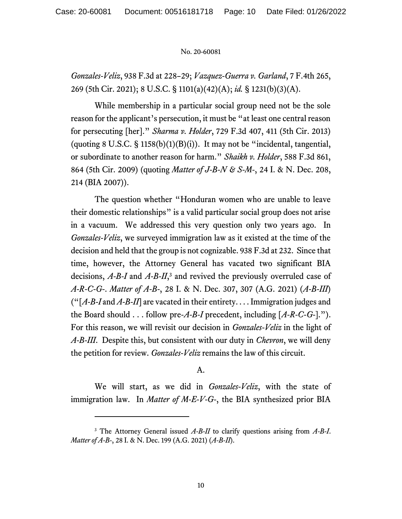*Gonzales-Veliz*, 938 F.3d at 228–29; *Vazquez-Guerra v. Garland*, 7 F.4th 265, 269 (5th Cir. 2021); 8 U.S.C. § 1101(a)(42)(A); *id.* § 1231(b)(3)(A).

While membership in a particular social group need not be the sole reason for the applicant's persecution, it must be "at least one central reason for persecuting [her]." *Sharma v. Holder*, 729 F.3d 407, 411 (5th Cir. 2013) (quoting  $8 \text{ U.S.C.}$  § 1158(b)(1)(B)(i)). It may not be "incidental, tangential, or subordinate to another reason for harm." *Shaikh v. Holder*, 588 F.3d 861, 864 (5th Cir. 2009) (quoting *Matter of J-B-N & S-M-*, 24 I. & N. Dec. 208, 214 (BIA 2007)).

The question whether "Honduran women who are unable to leave their domestic relationships" is a valid particular social group does not arise in a vacuum. We addressed this very question only two years ago. In *Gonzales-Veliz*, we surveyed immigration law as it existed at the time of the decision and held that the group is not cognizable. 938 F.3d at 232. Since that time, however, the Attorney General has vacated two significant BIA decisions, *A-B-I* and *A-B-II*, <sup>3</sup> and revived the previously overruled case of *A-R-C-G-*. *Matter of A-B-*, 28 I. & N. Dec. 307, 307 (A.G. 2021) (*A-B-III*) ("[*A-B-I* and *A-B-II*] are vacated in their entirety. . . . Immigration judges and the Board should . . . follow pre-*A-B-I* precedent, including [*A-R-C-G-*]."). For this reason, we will revisit our decision in *Gonzales-Veliz* in the light of *A-B-III*. Despite this, but consistent with our duty in *Chevron*, we will deny the petition for review. *Gonzales-Veliz* remains the law of this circuit.

### A.

We will start, as we did in *Gonzales-Veliz*, with the state of immigration law. In *Matter of M-E-V-G-*, the BIA synthesized prior BIA

<sup>3</sup> The Attorney General issued *A-B-II* to clarify questions arising from *A-B-I*. *Matter of A-B-*, 28 I. & N. Dec. 199 (A.G. 2021) (*A-B-II*).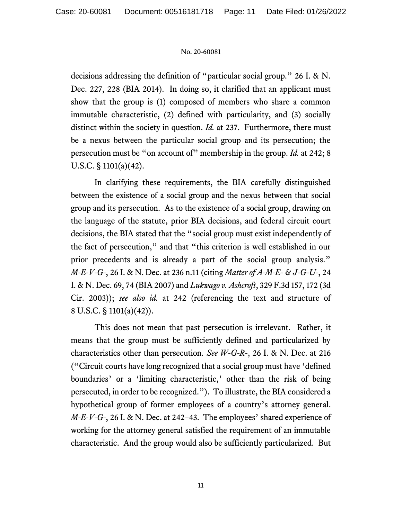decisions addressing the definition of "particular social group." 26 I. & N. Dec. 227, 228 (BIA 2014). In doing so, it clarified that an applicant must show that the group is (1) composed of members who share a common immutable characteristic, (2) defined with particularity, and (3) socially distinct within the society in question. *Id.* at 237. Furthermore, there must be a nexus between the particular social group and its persecution; the persecution must be "on account of" membership in the group. *Id.* at 242; 8 U.S.C. § 1101(a)(42).

In clarifying these requirements, the BIA carefully distinguished between the existence of a social group and the nexus between that social group and its persecution. As to the existence of a social group, drawing on the language of the statute, prior BIA decisions, and federal circuit court decisions, the BIA stated that the "social group must exist independently of the fact of persecution," and that "this criterion is well established in our prior precedents and is already a part of the social group analysis." *M-E-V-G-*, 26 I. & N. Dec. at 236 n.11 (citing *Matter of A-M-E- & J-G-U-*, 24 I. & N. Dec. 69, 74 (BIA 2007) and *Lukwago v. Ashcroft*, 329 F.3d 157, 172 (3d Cir. 2003)); *see also id.* at 242 (referencing the text and structure of 8 U.S.C. § 1101(a)(42)).

This does not mean that past persecution is irrelevant. Rather, it means that the group must be sufficiently defined and particularized by characteristics other than persecution. *See W-G-R-*, 26 I. & N. Dec. at 216 ("Circuit courts have long recognized that a social group must have 'defined boundaries' or a 'limiting characteristic,' other than the risk of being persecuted, in order to be recognized."). To illustrate, the BIA considered a hypothetical group of former employees of a country's attorney general. *M-E-V-G-*, 26 I. & N. Dec. at 242–43. The employees' shared experience of working for the attorney general satisfied the requirement of an immutable characteristic. And the group would also be sufficiently particularized. But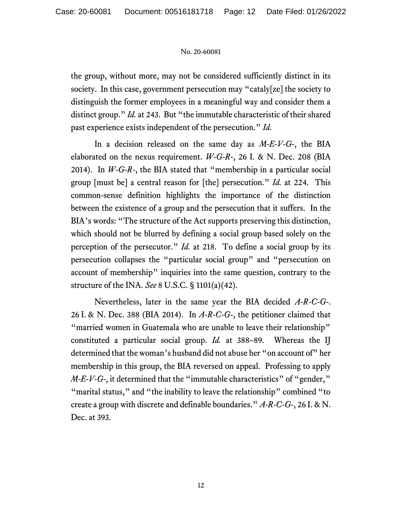the group, without more, may not be considered sufficiently distinct in its society. In this case, government persecution may "cataly[ze] the society to distinguish the former employees in a meaningful way and consider them a distinct group." *Id.* at 243. But "the immutable characteristic of their shared past experience exists independent of the persecution." *Id.* 

In a decision released on the same day as *M-E-V-G-*, the BIA elaborated on the nexus requirement. *W-G-R-*, 26 I. & N. Dec. 208 (BIA 2014). In *W-G-R-*, the BIA stated that "membership in a particular social group [must be] a central reason for [the] persecution." *Id.* at 224. This common-sense definition highlights the importance of the distinction between the existence of a group and the persecution that it suffers. In the BIA's words: "The structure of the Act supports preserving this distinction, which should not be blurred by defining a social group based solely on the perception of the persecutor." *Id.* at 218. To define a social group by its persecution collapses the "particular social group" and "persecution on account of membership" inquiries into the same question, contrary to the structure of the INA. *See* 8 U.S.C. § 1101(a)(42).

Nevertheless, later in the same year the BIA decided *A-R-C-G-*. 26 I. & N. Dec. 388 (BIA 2014). In *A-R-C-G-*, the petitioner claimed that "married women in Guatemala who are unable to leave their relationship" constituted a particular social group. *Id.* at 388–89. Whereas the IJ determined that the woman's husband did not abuse her "on account of" her membership in this group, the BIA reversed on appeal. Professing to apply *M-E-V-G-*, it determined that the "immutable characteristics" of "gender," "marital status," and "the inability to leave the relationship" combined "to create a group with discrete and definable boundaries." *A-R-C-G-*, 26 I. & N. Dec. at 393.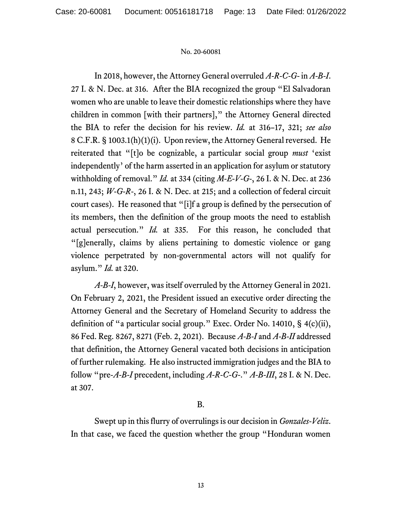In 2018, however, the Attorney General overruled *A-R-C-G-* in *A-B-I*. 27 I. & N. Dec. at 316. After the BIA recognized the group "El Salvadoran women who are unable to leave their domestic relationships where they have children in common [with their partners]," the Attorney General directed the BIA to refer the decision for his review. *Id.* at 316–17, 321; *see also*  8 C.F.R. § 1003.1(h)(1)(i). Upon review, the Attorney General reversed. He reiterated that "[t]o be cognizable, a particular social group *must* 'exist independently' of the harm asserted in an application for asylum or statutory withholding of removal." *Id.* at 334 (citing *M-E-V-G-*, 26 I. & N. Dec. at 236 n.11, 243; *W-G-R-*, 26 I. & N. Dec. at 215; and a collection of federal circuit court cases). He reasoned that "[i]f a group is defined by the persecution of its members, then the definition of the group moots the need to establish actual persecution." *Id.* at 335. For this reason, he concluded that "[g]enerally, claims by aliens pertaining to domestic violence or gang violence perpetrated by non-governmental actors will not qualify for asylum." *Id.* at 320.

*A-B-I*, however, was itself overruled by the Attorney General in 2021. On February 2, 2021, the President issued an executive order directing the Attorney General and the Secretary of Homeland Security to address the definition of "a particular social group." Exec. Order No. 14010, § 4(c)(ii), 86 Fed. Reg. 8267, 8271 (Feb. 2, 2021). Because *A-B-I* and *A-B-II* addressed that definition, the Attorney General vacated both decisions in anticipation of further rulemaking. He also instructed immigration judges and the BIA to follow "pre-*A-B-I* precedent, including *A-R-C-G-*." *A-B-III*, 28 I. & N. Dec. at 307.

# B.

Swept up in this flurry of overrulings is our decision in *Gonzales-Veliz*. In that case, we faced the question whether the group "Honduran women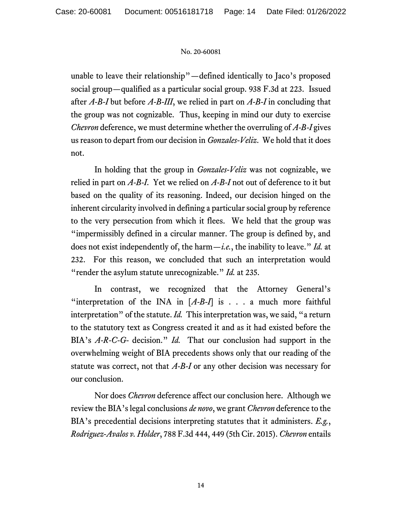unable to leave their relationship"—defined identically to Jaco's proposed social group—qualified as a particular social group. 938 F.3d at 223. Issued after *A-B-I* but before *A-B-III*, we relied in part on *A-B-I* in concluding that the group was not cognizable. Thus, keeping in mind our duty to exercise *Chevron* deference, we must determine whether the overruling of *A-B-I* gives us reason to depart from our decision in *Gonzales-Veliz*. We hold that it does not.

In holding that the group in *Gonzales-Veliz* was not cognizable, we relied in part on *A-B-I*. Yet we relied on *A-B-I* not out of deference to it but based on the quality of its reasoning. Indeed, our decision hinged on the inherent circularity involved in defining a particular social group by reference to the very persecution from which it flees. We held that the group was "impermissibly defined in a circular manner. The group is defined by, and does not exist independently of, the harm—*i.e.*, the inability to leave." *Id.* at 232. For this reason, we concluded that such an interpretation would "render the asylum statute unrecognizable." *Id.* at 235.

In contrast, we recognized that the Attorney General's "interpretation of the INA in  $[A-B-I]$  is . . . a much more faithful interpretation" of the statute. *Id.* This interpretation was, we said, "a return to the statutory text as Congress created it and as it had existed before the BIA's *A-R-C-G-* decision." *Id.* That our conclusion had support in the overwhelming weight of BIA precedents shows only that our reading of the statute was correct, not that *A-B-I* or any other decision was necessary for our conclusion.

Nor does *Chevron* deference affect our conclusion here. Although we review the BIA's legal conclusions *de novo*, we grant *Chevron* deference to the BIA's precedential decisions interpreting statutes that it administers. *E.g.*, *Rodriguez-Avalos v. Holder*, 788 F.3d 444, 449 (5th Cir. 2015). *Chevron* entails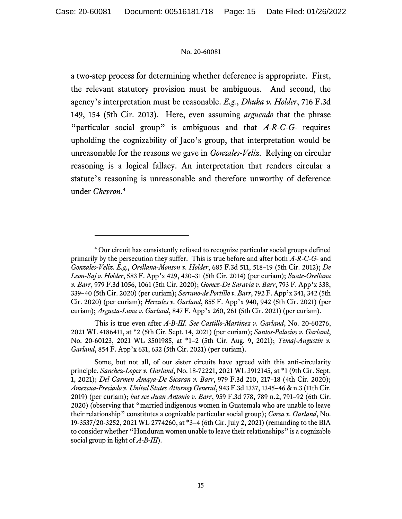a two-step process for determining whether deference is appropriate. First, the relevant statutory provision must be ambiguous. And second, the agency's interpretation must be reasonable. *E.g.*, *Dhuka v. Holder*, 716 F.3d 149, 154 (5th Cir. 2013). Here, even assuming *arguendo* that the phrase "particular social group" is ambiguous and that *A-R-C-G-* requires upholding the cognizability of Jaco's group, that interpretation would be unreasonable for the reasons we gave in *Gonzales-Veliz*. Relying on circular reasoning is a logical fallacy. An interpretation that renders circular a statute's reasoning is unreasonable and therefore unworthy of deference under *Chevron*. 4

This is true even after *A-B-III*. *See Castillo-Martinez v. Garland*, No. 20-60276, 2021 WL 4186411, at \*2 (5th Cir. Sept. 14, 2021) (per curiam); *Santos-Palacios v. Garland*, No. 20-60123, 2021 WL 3501985, at \*1–2 (5th Cir. Aug. 9, 2021); *Temaj-Augustin v. Garland*, 854 F. App'x 631, 632 (5th Cir. 2021) (per curiam).

<sup>4</sup> Our circuit has consistently refused to recognize particular social groups defined primarily by the persecution they suffer. This is true before and after both *A-R-C-G-* and *Gonzales-Veliz*. *E.g.*, *Orellana-Monson v. Holder*, 685 F.3d 511, 518–19 (5th Cir. 2012); *De Leon-Saj v. Holder*, 583 F. App'x 429, 430–31 (5th Cir. 2014) (per curiam); *Suate-Orellana v. Barr*, 979 F.3d 1056, 1061 (5th Cir. 2020); *Gomez-De Saravia v. Barr*, 793 F. App'x 338, 339–40 (5th Cir. 2020) (per curiam); *Serrano-de Portillo v. Barr*, 792 F. App'x 341, 342 (5th Cir. 2020) (per curiam); *Hercules v. Garland*, 855 F. App'x 940, 942 (5th Cir. 2021) (per curiam); *Argueta-Luna v. Garland*, 847 F. App'x 260, 261 (5th Cir. 2021) (per curiam).

Some, but not all, of our sister circuits have agreed with this anti-circularity principle. *Sanchez-Lopez v. Garland*, No. 18-72221, 2021 WL 3912145, at \*1 (9th Cir. Sept. 1, 2021); *Del Carmen Amaya-De Sicaran v. Barr*, 979 F.3d 210, 217–18 (4th Cir. 2020); *Amezcua-Preciado v. United States Attorney General*, 943 F.3d 1337, 1345–46 & n.3 (11th Cir. 2019) (per curiam); *but see Juan Antonio v. Barr*, 959 F.3d 778, 789 n.2, 791–92 (6th Cir. 2020) (observing that "married indigenous women in Guatemala who are unable to leave their relationship" constitutes a cognizable particular social group); *Corea v. Garland*, No. 19-3537/20-3252, 2021 WL 2774260, at \*3–4 (6th Cir. July 2, 2021) (remanding to the BIA to consider whether "Honduran women unable to leave their relationships" is a cognizable social group in light of *A-B-III*).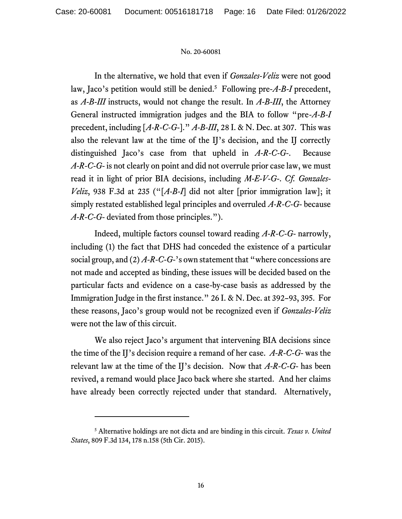In the alternative, we hold that even if *Gonzales-Veliz* were not good law, Jaco's petition would still be denied.<sup>5</sup> Following pre-*A-B-I* precedent, as *A-B-III* instructs, would not change the result. In *A-B-III*, the Attorney General instructed immigration judges and the BIA to follow "pre-*A-B-I* precedent, including [*A-R-C-G-*]." *A-B-III*, 28 I. & N. Dec. at 307. This was also the relevant law at the time of the IJ's decision, and the IJ correctly distinguished Jaco's case from that upheld in *A-R-C-G-*. Because *A-R-C-G-* is not clearly on point and did not overrule prior case law, we must read it in light of prior BIA decisions, including *M-E-V-G-*. *Cf. Gonzales-Veliz*, 938 F.3d at 235 ("[*A-B-I*] did not alter [prior immigration law]; it simply restated established legal principles and overruled *A-R-C-G-* because *A-R-C-G-* deviated from those principles.").

Indeed, multiple factors counsel toward reading *A-R-C-G-* narrowly, including (1) the fact that DHS had conceded the existence of a particular social group, and (2) *A-R-C-G-*'s own statement that "where concessions are not made and accepted as binding, these issues will be decided based on the particular facts and evidence on a case-by-case basis as addressed by the Immigration Judge in the first instance." 26 I. & N. Dec. at 392–93, 395. For these reasons, Jaco's group would not be recognized even if *Gonzales-Veliz* were not the law of this circuit.

We also reject Jaco's argument that intervening BIA decisions since the time of the IJ's decision require a remand of her case. *A-R-C-G-* was the relevant law at the time of the IJ's decision. Now that *A-R-C-G-* has been revived, a remand would place Jaco back where she started. And her claims have already been correctly rejected under that standard. Alternatively,

<sup>5</sup> Alternative holdings are not dicta and are binding in this circuit. *Texas v. United States*, 809 F.3d 134, 178 n.158 (5th Cir. 2015).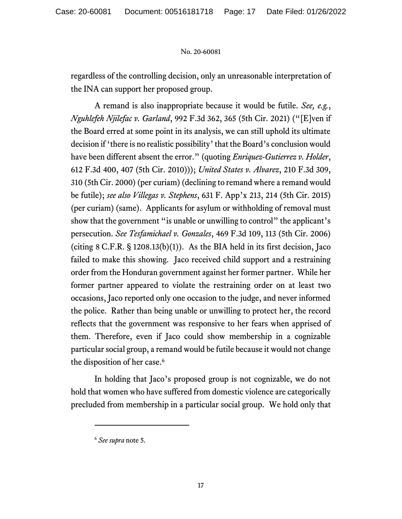regardless of the controlling decision, only an unreasonable interpretation of the INA can support her proposed group.

A remand is also inappropriate because it would be futile. *See, e.g.*, *Nguhlefeh Njilefac v. Garland*, 992 F.3d 362, 365 (5th Cir. 2021) ("[E]ven if the Board erred at some point in its analysis, we can still uphold its ultimate decision if 'there is no realistic possibility' that the Board's conclusion would have been different absent the error." (quoting *Enriquez-Gutierrez v. Holder*, 612 F.3d 400, 407 (5th Cir. 2010))); *United States v. Alvarez*, 210 F.3d 309, 310 (5th Cir. 2000) (per curiam) (declining to remand where a remand would be futile); *see also Villegas v. Stephens*, 631 F. App'x 213, 214 (5th Cir. 2015) (per curiam) (same). Applicants for asylum or withholding of removal must show that the government "is unable or unwilling to control" the applicant's persecution. *See Tesfamichael v. Gonzales*, 469 F.3d 109, 113 (5th Cir. 2006) (citing  $8$  C.F.R.  $\S$  1208.13(b)(1)). As the BIA held in its first decision, Jaco failed to make this showing. Jaco received child support and a restraining order from the Honduran government against her former partner. While her former partner appeared to violate the restraining order on at least two occasions, Jaco reported only one occasion to the judge, and never informed the police. Rather than being unable or unwilling to protect her, the record reflects that the government was responsive to her fears when apprised of them. Therefore, even if Jaco could show membership in a cognizable particular social group, a remand would be futile because it would not change the disposition of her case.<sup>6</sup>

In holding that Jaco's proposed group is not cognizable, we do not hold that women who have suffered from domestic violence are categorically precluded from membership in a particular social group. We hold only that

<sup>6</sup> *See supra* note 5.